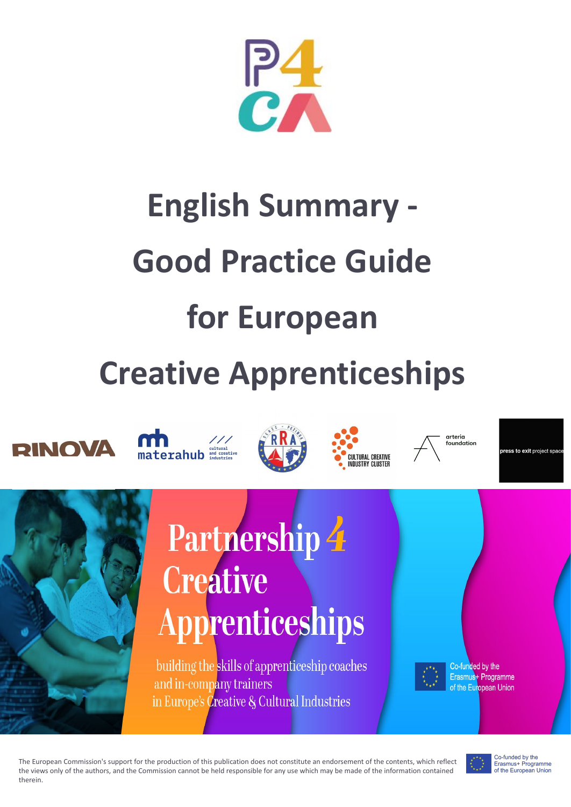

# **English Summary - Good Practice Guide for European Creative Apprenticeships**









arteria foundation

ess to exit project spa



## Partnership 4 **Creative Apprenticeships**

building the skills of apprenticeship coaches and in-company trainers in Europe's *Creative & Cultural Industries* 

Co-funded by the Erasmus<sup>+</sup> Programme of the European Union

The European Commission's support for the production of this publication does not constitute an endorsement of the contents, which reflect the views only of the authors, and the Commission cannot be held responsible for any use which may be made of the information contained therein.



www.**csi-project**.eu

Co-funded by the Erasmus+ Programme of the European Union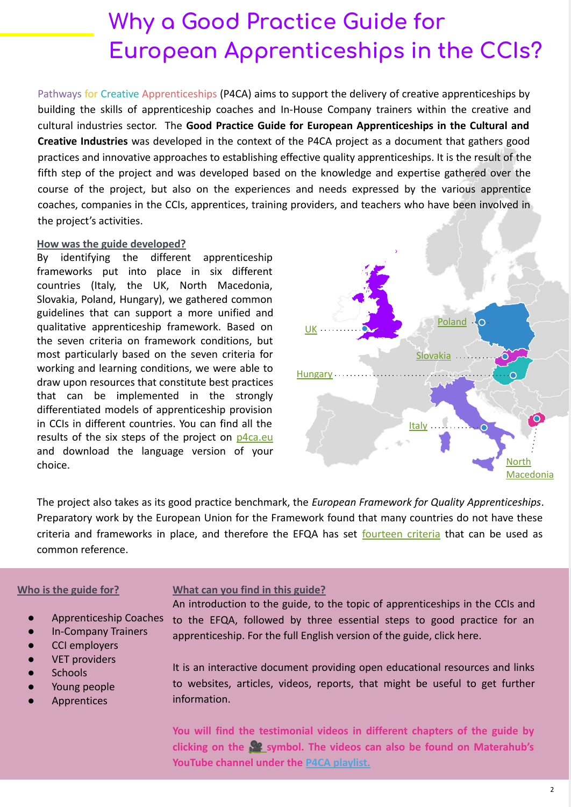### **Why a Good Practice Guide for European Apprenticeships in the CCIs?**

Pathways for Creative Apprenticeships (P4CA) aims to support the delivery of creative apprenticeships by building the skills of apprenticeship coaches and In-House Company trainers within the creative and cultural industries sector. The **Good Practice Guide for European Apprenticeships in the Cultural and Creative Industries** was developed in the context of the P4CA project as a document that gathers good practices and innovative approaches to establishing effective quality apprenticeships. It is the result of the fifth step of the project and was developed based on the knowledge and expertise gathered over the course of the project, but also on the experiences and needs expressed by the various apprentice coaches, companies in the CCIs, apprentices, training providers, and teachers who have been involved in the project's activities.

#### **How was the guide developed?**

By identifying the different apprenticeship frameworks put into place in six different countries (Italy, the UK, North Macedonia, Slovakia, Poland, Hungary), we gathered common guidelines that can support a more unified and qualitative apprenticeship framework. Based on the seven criteria on framework conditions, but most particularly based on the seven criteria for working and learning conditions, we were able to draw upon resources that constitute best practices that can be implemented in the strongly differentiated models of apprenticeship provision in CCIs in different countries. You can find all the results of the six steps of the project on  $p4ca.eu$ and download the language version of your choice.



The project also takes as its good practice benchmark, the *European Framework for Quality Apprenticeships*. Preparatory work by the European Union for the Framework found that many countries do not have these criteria and frameworks in place, and therefore the EFQA has set [fourteen criteria](https://ec.europa.eu/commission/presscorner/detail/en/MEMO_17_3586) that can be used as common reference.

### **Who is the guide for?**

- Apprenticeship Coaches
- In-Company Trainers
- CCI employers
- **VET providers**
- **Schools**
- Young people
- **Apprentices**

**What can you find in this guide?**

An introduction to the guide, to the topic of apprenticeships in the CCIs and to the EFQA, followed by three essential steps to good practice for an apprenticeship. For the full English version of the guide, click here.

It is an interactive document providing open educational resources and links to websites, articles, videos, reports, that might be useful to get further information.

**You will find the testimonial videos in different chapters of the guide by clicking on the symbol. The videos can also be found on Materahub's YouTube channel under the [P4CA playlist.](https://www.youtube.com/watch?v=6gvBUngl0DM&list=PLrot5uZZF8qC7IvBJTsPKKL3k6EdCBUOn)**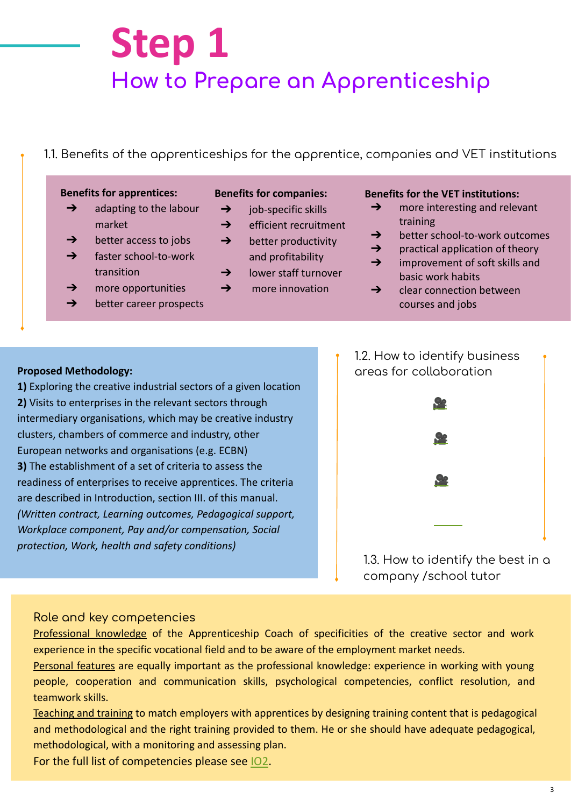### **Step 1 How to Prepare an Apprenticeship**

### 1.1. Benefits of the apprenticeships for the apprentice, companies and VET institutions

#### **Benefits for apprentices:**

- $\rightarrow$  adapting to the labour market
- $\rightarrow$  better access to jobs
- ➔ faster school-to-work
- transition  $\rightarrow$  more opportunities

➔ better career prospects

#### **Benefits for companies:**

- $\rightarrow$  job-specific skills
- **→** efficient recruitment
- $\rightarrow$  better productivity and profitability
- **→** lower staff turnover
- $\rightarrow$  more innovation

### **Benefits for the VET institutions:**

- $\rightarrow$  more interesting and relevant training
- **→** better school-to-work outcomes
- $\rightarrow$  practical application of theory
- **→** improvement of soft skills and basic work habits
- $\rightarrow$  clear connection between courses and jobs

**1)** Exploring the creative industrial sectors of a given location **2)** Visits to enterprises in the relevant sectors through intermediary organisations, which may be creative industry clusters, chambers of commerce and industry, other European networks and organisations (e.g. ECBN) **3)** The establishment of a set of criteria to assess the readiness of enterprises to receive apprentices. The criteria are described in Introduction, section III. of this manual. *(Written contract, Learning outcomes, Pedagogical support, Workplace component, Pay and/or compensation, Social protection, Work, health and safety conditions)*



1.3. How to identify the best in a company /school tutor

### Role and key competencies

Professional knowledge of the Apprenticeship Coach of specificities of the creative sector and work experience in the specific vocational field and to be aware of the employment market needs.

Personal features are equally important as the professional knowledge: experience in working with young people, cooperation and communication skills, psychological competencies, conflict resolution, and teamwork skills.

Teaching and training to match employers with apprentices by designing training content that is pedagogical and methodological and the right training provided to them. He or she should have adequate pedagogical, methodological, with a monitoring and assessing plan.

For the full list of competencies please see [IO2.](https://www.p4ca.eu/download/intellectual-output-2/?wpdmdl=377&masterkey=60accffae2014)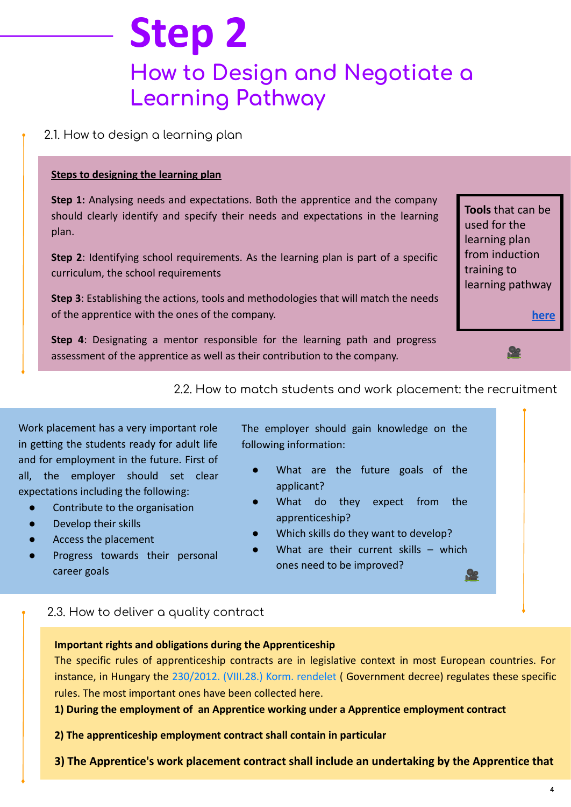### **How to Design and Negotiate a** Learning Pathway **Step 2**

### 2.1. How to design a learning plan

### **Steps to designing the learning plan**

**Step 1:** Analysing needs and expectations. Both the apprentice and the company should clearly identify and specify their needs and expectations in the learning plan.

**Step 2**: Identifying school requirements. As the learning plan is part of a specific curriculum, the school requirements

**Step 3**: Establishing the actions, tools and methodologies that will match the needs of the apprentice with the ones of the company.

**Step 4**: Designating a mentor responsible for the learning path and progress assessment of the apprentice as well as their contribution to the company.

**Tools** that can be used for the learning plan from induction training to learning pathway

<u>Oo</u>

 **[here](https://www.futurelearn.com/info/courses/blended-learning-digitally-enriched-apprenticeships/0/steps/43051)**



Work placement has a very important role in getting the students ready for adult life and for employment in the future. First of all, the employer should set clear expectations including the following:

- Contribute to the organisation
- Develop their skills
- Access the placement
- Progress towards their personal career goals

The employer should gain knowledge on the following information:

- What are the future goals of the applicant?
- What do they expect from the apprenticeship?
- Which skills do they want to develop?
- What are their current skills which ones need to be improved?<u> Ço</u>

### 2.3. How to deliver a quality contract

### **Important rights and obligations during the Apprenticeship**

or<br>ic<br>I The specific rules of apprenticeship contracts are in legislative context in most European countries. For instance, in Hungary the [230/2012. \(VIII.28.\) Korm. rendelet](http://net.jogtar.hu/jr/gen/hjegy_doc.cgi?docid=A1200230.KOR) ( Government decree) regulates these specific rules. The most important ones have been collected here.

**1) During the employment of an Apprentice working under a Apprentice employment contract**

**2) The apprenticeship employment contract shall contain in particular**

**3) The Apprentice's work placement contract shall include an undertaking by the Apprentice that**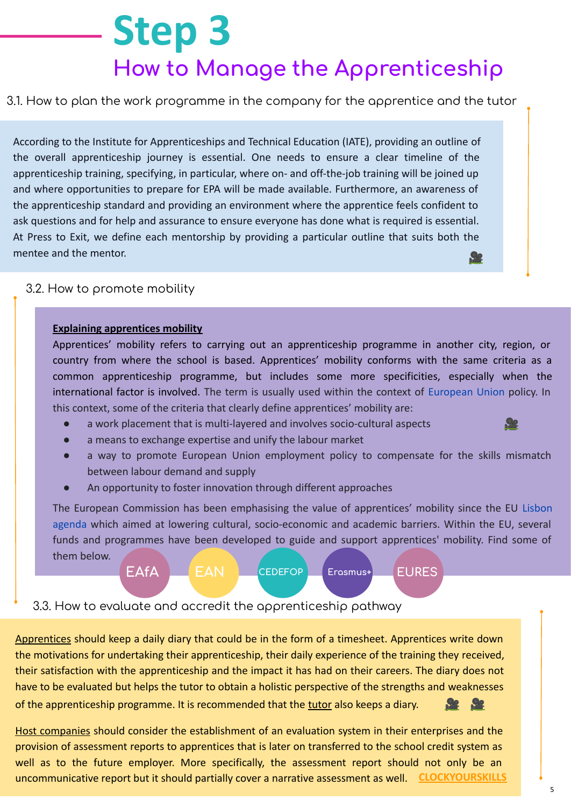## **Step 3 How to Manage the Apprenticeship**

### 3.1. How to plan the work programme in the company for the apprentice and the tutor

According to the Institute for Apprenticeships and Technical Education (IATE), providing an outline of the overall apprenticeship journey is essential. One needs to ensure a clear timeline of the apprenticeship training, specifying, in particular, where on- and off-the-job training will be joined up and where opportunities to prepare for EPA will be made available. Furthermore, an awareness of the apprenticeship standard and providing an environment where the apprentice feels confident to ask questions and for help and assurance to ensure everyone has done what is required is essential. At Press to Exit, we define each mentorship by providing a particular outline that suits both the mentee and the mentor. <u>Oo</u>

### 3.2. How to promote mobility

### **Explaining apprentices mobility**

Apprentices' mobility refers to carrying out an apprenticeship programme in another city, region, or country from where the school is based. Apprentices' mobility conforms with the same criteria as a common apprenticeship programme, but includes some more specificities, especially when the international factor is involved. The term is usually used within the context of [European Union](https://en.wikipedia.org/wiki/European_Union) policy. In this context, some of the criteria that clearly define apprentices' mobility are:

a work placement that is multi-layered and involves socio-cultural aspects



- a means to exchange expertise and unify the labour market
- a way to promote European Union employment policy to compensate for the skills mismatch between labour demand and supply
- An opportunity to foster innovation through different approaches

The European Commission has been emphasising the value of apprentices' mobility since the EU [Lisbon](https://en.wikipedia.org/wiki/Lisbon_agenda)  [agenda](https://en.wikipedia.org/wiki/Lisbon_agenda) which aimed at lowering cultural, socio-economic and academic barriers. Within the EU, several funds and programmes have been developed to guide and support apprentices' mobility. Find some of them below.



3.3. How to evaluate and accredit the apprenticeship pathway

Apprentices should keep a daily diary that could be in the form of a timesheet. Apprentices write down the motivations for undertaking their apprenticeship, their daily experience of the training they received, their satisfaction with the apprenticeship and the impact it has had on their careers. The diary does not have to be evaluated but helps the tutor to obtain a holistic perspective of the strengths and weaknesses of the apprenticeship programme. It is recommended that the tutor also keeps a diary.

Host companies should consider the establishment of an evaluation system in their enterprises and the provision of assessment reports to apprentices that is later on transferred to the school credit system as well as to the future employer. More specifically, the assessment report should not only be an uncommunicative report but it should partially cover a narrative assessment as well. **[CLOCKYOURSKILLS](https://clockyourskills.com/)**